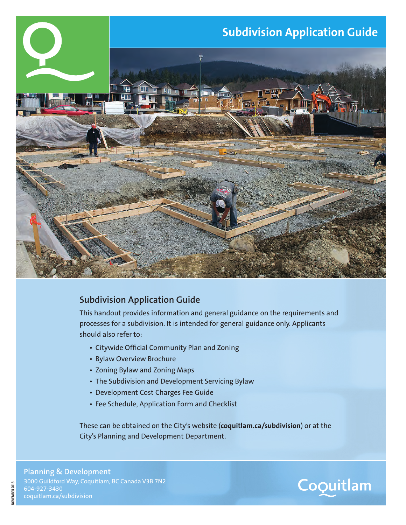

#### **Subdivision Application Guide**

This handout provides information and general guidance on the requirements and processes for a subdivision. It is intended for general guidance only. Applicants should also refer to:

- Citywide Official Community Plan and Zoning
- Bylaw Overview Brochure
- Zoning Bylaw and Zoning Maps
- The Subdivision and Development Servicing Bylaw
- Development Cost Charges Fee Guide
- Fee Schedule, Application Form and Checklist

These can be obtained on the City's website (**coquitlam.ca/subdivision**) or at the City's Planning and Development Department.

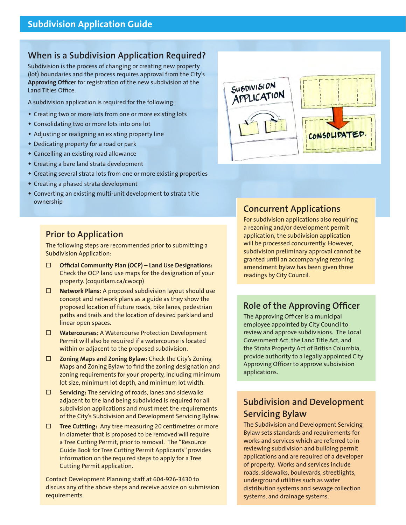#### **When is a Subdivision Application Required?**

Subdivision is the process of changing or creating new property (lot) boundaries and the process requires approval from the City's **Approving Officer** for registration of the new subdivision at the Land Titles Office.

A subdivision application is required for the following:

- Creating two or more lots from one or more existing lots
- Consolidating two or more lots into one lot
- Adjusting or realigning an existing property line
- Dedicating property for a road or park
- Cancelling an existing road allowance
- Creating a bare land strata development
- Creating several strata lots from one or more existing properties
- Creating a phased strata development
- Converting an existing multi-unit development to strata title ownership

### **Prior to Application**

The following steps are recommended prior to submitting a Subdivision Application:

- **Official Community Plan (OCP) Land Use Designations:**  Check the OCP land use maps for the designation of your property. (coquitlam.ca/cwocp)
- **Network Plans:** A proposed subdivision layout should use concept and network plans as a guide as they show the proposed location of future roads, bike lanes, pedestrian paths and trails and the location of desired parkland and linear open spaces.
- **Watercourses:** A Watercourse Protection Development Permit will also be required if a watercourse is located within or adjacent to the proposed subdivision.
- **Zoning Maps and Zoning Bylaw:** Check the City's Zoning Maps and Zoning Bylaw to find the zoning designation and zoning requirements for your property, including minimum lot size, minimum lot depth, and minimum lot width.
- **Servicing:** The servicing of roads, lanes and sidewalks adjacent to the land being subdivided is required for all subdivision applications and must meet the requirements of the City's Subdivision and Development Servicing Bylaw.
- **Tree Cuttting:** Any tree measuring 20 centimetres or more in diameter that is proposed to be removed will require a Tree Cutting Permit, prior to removal. The "Resource Guide Book for Tree Cutting Permit Applicants" provides information on the required steps to apply for a Tree Cutting Permit application.

Contact Development Planning staff at 604-926-3430 to discuss any of the above steps and receive advice on submission requirements.



# **Concurrent Applications**

For subdivision applications also requiring a rezoning and/or development permit application, the subdivision application will be processed concurrently. However, subdivision preliminary approval cannot be granted until an accompanying rezoning amendment bylaw has been given three readings by City Council.

#### **Role of the Approving Officer**

The Approving Officer is a municipal employee appointed by City Council to review and approve subdivisions. The Local Government Act, the Land Title Act, and the Strata Property Act of British Columbia, provide authority to a legally appointed City Approving Officer to approve subdivision applications.

# **Subdivision and Development Servicing Bylaw**

The Subdivision and Development Servicing Bylaw sets standards and requirements for works and services which are referred to in reviewing subdivision and building permit applications and are required of a developer of property. Works and services include roads, sidewalks, boulevards, streetlights, underground utilities such as water distribution systems and sewage collection systems, and drainage systems.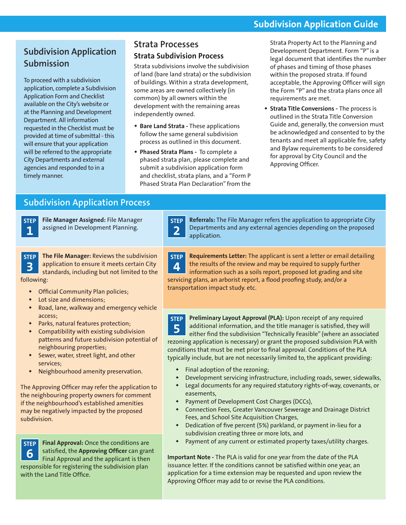### **Subdivision Application Guide**

# **Subdivision Application Submission**

To proceed with a subdivision application, complete a Subdivision Application Form and Checklist available on the City's website or at the Planning and Development Department. All information requested in the Checklist must be provided at time of submittal - this will ensure that your application will be referred to the appropriate City Departments and external agencies and responded to in a timely manner.

# **Strata Processes**

#### **Strata Subdivision Process**

Strata subdivisions involve the subdivision of land (bare land strata) or the subdivision of buildings. Within a strata development, some areas are owned collectively (in common) by all owners within the development with the remaining areas independently owned.

- **Bare Land Strata -** These applications follow the same general subdivision process as outlined in this document.
- **Phased Strata Plans -** To complete a phased strata plan, please complete and submit a subdivision application form and checklist, strata plans, and a "Form P Phased Strata Plan Declaration" from the

**2**

Strata Property Act to the Planning and Development Department. Form "P" is a legal document that identifies the number of phases and timing of those phases within the proposed strata. If found acceptable, the Approving Officer will sign the Form "P" and the strata plans once all requirements are met.

 **Strata Title Conversions -** The process is outlined in the Strata Title Conversion Guide and, generally, the conversion must be acknowledged and consented to by the tenants and meet all applicable fire, safety and Bylaw requirements to be considered for approval by City Council and the Approving Officer.

### **Subdivision Application Process**



**File Manager Assigned:** File Manager assigned in Development Planning.

**STEP 3 The File Manager:** Reviews the subdivision application to ensure it meets certain City standards, including but not limited to the

following:

- Official Community Plan policies;
- Lot size and dimensions;
- Road, lane, walkway and emergency vehicle access;
- Parks, natural features protection;
- Compatibility with existing subdivision patterns and future subdivision potential of neighbouring properties;
- Sewer, water, street light, and other services;
- Neighbourhood amenity preservation.

The Approving Officer may refer the application to the neighbouring property owners for comment if the neighbourhood's established amenities may be negatively impacted by the proposed subdivision.

**STEP 6 Final Approval:** Once the conditions are satisfied, the **Approving Officer** can grant Final Approval and the applicant is then responsible for registering the subdivision plan with the Land Title Office.

**STEP Referrals:** The File Manager refers the application to appropriate City Departments and any external agencies depending on the proposed application.

**STEP 4 Requirements Letter:** The applicant is sent a letter or email detailing the results of the review and may be required to supply further information such as a soils report, proposed lot grading and site servicing plans, an arborist report, a flood proofing study, and/or a transportation impact study. etc.

**STEP 5 Preliminary Layout Approval (PLA):** Upon receipt of any required additional information, and the title manager is satisfied, they will either find the subdivision "Technically Feasible" (where an associated rezoning application is necessary) or grant the proposed subdivision PLA with conditions that must be met prior to final approval. Conditions of the PLA typically include, but are not necessarily limited to, the applicant providing:

- Final adoption of the rezoning;
- Development servicing infrastructure, including roads, sewer, sidewalks,
- Legal documents for any required statutory rights-of-way, covenants, or easements,
- Payment of Development Cost Charges (DCCs),
- Connection Fees, Greater Vancouver Sewerage and Drainage District Fees, and School Site Acquisition Charges,
- Dedication of five percent (5%) parkland, or payment in-lieu for a subdivision creating three or more lots, and
- Payment of any current or estimated property taxes/utility charges.

**Important Note -** The PLA is valid for one year from the date of the PLA issuance letter. If the conditions cannot be satisfied within one year, an application for a time extension may be requested and upon review the Approving Officer may add to or revise the PLA conditions.